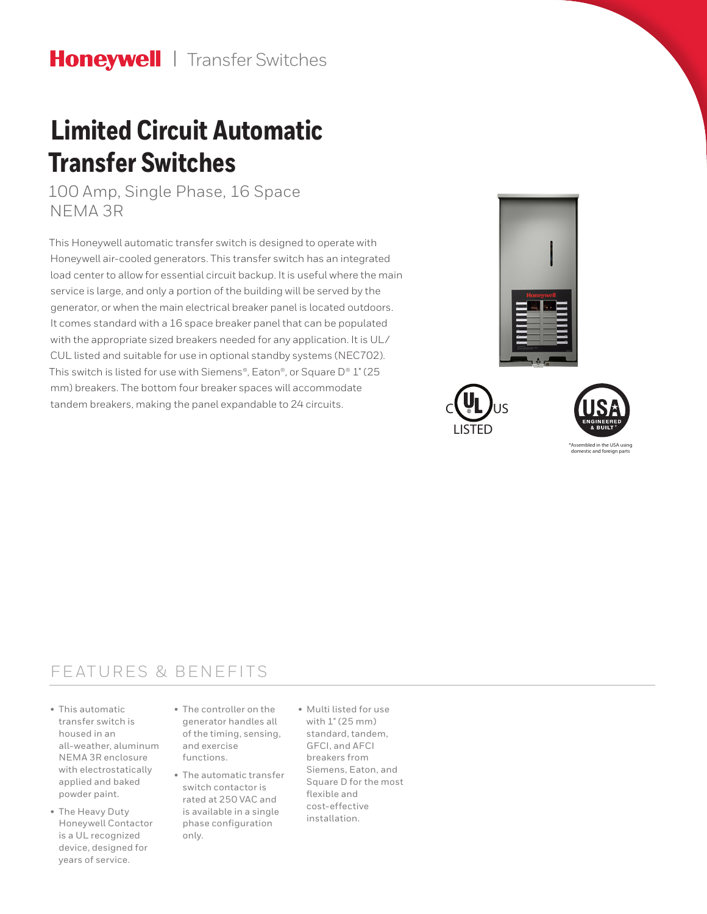# **Limited Circuit Automatic Transfer Switches**

100 Amp, Single Phase, 16 Space NEMA 3R

This Honeywell automatic transfer switch is designed to operate with Honeywell air-cooled generators. This transfer switch has an integrated load center to allow for essential circuit backup. It is useful where the main service is large, and only a portion of the building will be served by the generator, or when the main electrical breaker panel is located outdoors. It comes standard with a 16 space breaker panel that can be populated with the appropriate sized breakers needed for any application. It is UL/ CUL listed and suitable for use in optional standby systems (NEC702). This switch is listed for use with Siemens®, Eaton®, or Square D® 1" (25 mm) breakers. The bottom four breaker spaces will accommodate tandem breakers, making the panel expandable to 24 circuits.







bled in the USA domestic and foreign parts

### FEATURES & BENEFITS

- This automatic transfer switch is housed in an all-weather, aluminum NEMA 3R enclosure with electrostatically applied and baked powder paint.
- The Heavy Duty Honeywell Contactor is a UL recognized device, designed for years of service.
- The controller on the generator handles all of the timing, sensing, and exercise functions.
- The automatic transfer switch contactor is rated at 250 VAC and is available in a single phase configuration only.
- Multi listed for use with 1" (25 mm) standard, tandem, GFCI, and AFCI breakers from Siemens, Eaton, and Square D for the most flexible and cost-effective installation.